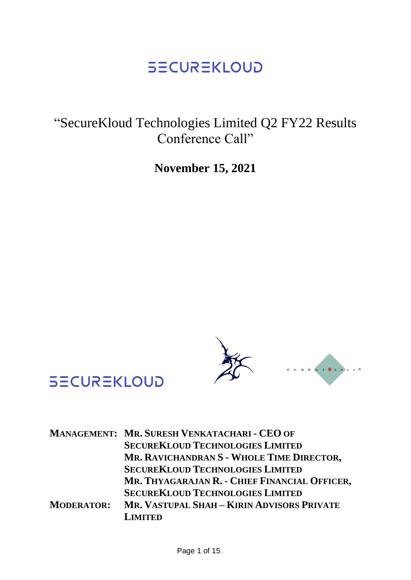"SecureKloud Technologies Limited Q2 FY22 Results Conference Call"

**November 15, 2021**



# **SECUREKLOUD**

|                   | MANAGEMENT: MR. SURESH VENKATACHARI - CEO OF  |
|-------------------|-----------------------------------------------|
|                   | <b>SECUREKLOUD TECHNOLOGIES LIMITED</b>       |
|                   | MR. RAVICHANDRAN S - WHOLE TIME DIRECTOR,     |
|                   | <b>SECUREKLOUD TECHNOLOGIES LIMITED</b>       |
|                   | MR. THYAGARAJAN R. - CHIEF FINANCIAL OFFICER, |
|                   | <b>SECUREKLOUD TECHNOLOGIES LIMITED</b>       |
| <b>MODERATOR:</b> | MR. VASTUPAL SHAH - KIRIN ADVISORS PRIVATE    |
|                   | <b>LIMITED</b>                                |
|                   |                                               |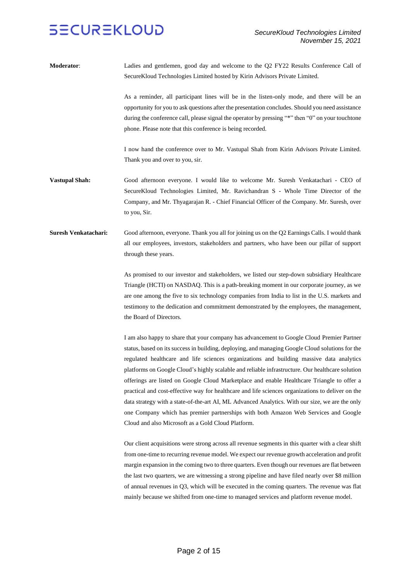**Moderator**: Ladies and gentlemen, good day and welcome to the Q2 FY22 Results Conference Call of SecureKloud Technologies Limited hosted by Kirin Advisors Private Limited.

> As a reminder, all participant lines will be in the listen-only mode, and there will be an opportunity for you to ask questions after the presentation concludes. Should you need assistance during the conference call, please signal the operator by pressing "\*" then "0" on your touchtone phone. Please note that this conference is being recorded.

> I now hand the conference over to Mr. Vastupal Shah from Kirin Advisors Private Limited. Thank you and over to you, sir.

- **Vastupal Shah:** Good afternoon everyone. I would like to welcome Mr. Suresh Venkatachari CEO of SecureKloud Technologies Limited, Mr. Ravichandran S - Whole Time Director of the Company, and Mr. Thyagarajan R. - Chief Financial Officer of the Company. Mr. Suresh, over to you, Sir.
- **Suresh Venkatachari:** Good afternoon, everyone. Thank you all for joining us on the Q2 Earnings Calls. I would thank all our employees, investors, stakeholders and partners, who have been our pillar of support through these years.

As promised to our investor and stakeholders, we listed our step-down subsidiary Healthcare Triangle (HCTI) on NASDAQ. This is a path-breaking moment in our corporate journey, as we are one among the five to six technology companies from India to list in the U.S. markets and testimony to the dedication and commitment demonstrated by the employees, the management, the Board of Directors.

I am also happy to share that your company has advancement to Google Cloud Premier Partner status, based on its success in building, deploying, and managing Google Cloud solutions for the regulated healthcare and life sciences organizations and building massive data analytics platforms on Google Cloud's highly scalable and reliable infrastructure. Our healthcare solution offerings are listed on Google Cloud Marketplace and enable Healthcare Triangle to offer a practical and cost-effective way for healthcare and life sciences organizations to deliver on the data strategy with a state-of-the-art AI, ML Advanced Analytics. With our size, we are the only one Company which has premier partnerships with both Amazon Web Services and Google Cloud and also Microsoft as a Gold Cloud Platform.

Our client acquisitions were strong across all revenue segments in this quarter with a clear shift from one-time to recurring revenue model. We expect our revenue growth acceleration and profit margin expansion in the coming two to three quarters. Even though our revenues are flat between the last two quarters, we are witnessing a strong pipeline and have filed nearly over \$8 million of annual revenues in Q3, which will be executed in the coming quarters. The revenue was flat mainly because we shifted from one-time to managed services and platform revenue model.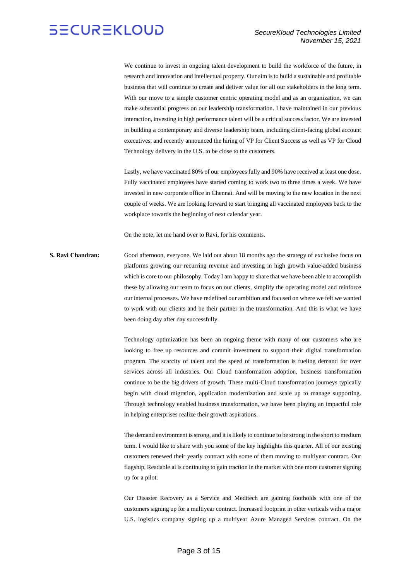

We continue to invest in ongoing talent development to build the workforce of the future, in research and innovation and intellectual property. Our aim is to build a sustainable and profitable business that will continue to create and deliver value for all our stakeholders in the long term. With our move to a simple customer centric operating model and as an organization, we can make substantial progress on our leadership transformation. I have maintained in our previous interaction, investing in high performance talent will be a critical success factor. We are invested in building a contemporary and diverse leadership team, including client-facing global account executives, and recently announced the hiring of VP for Client Success as well as VP for Cloud Technology delivery in the U.S. to be close to the customers.

Lastly, we have vaccinated 80% of our employees fully and 90% have received at least one dose. Fully vaccinated employees have started coming to work two to three times a week. We have invested in new corporate office in Chennai. And will be moving to the new location in the next couple of weeks. We are looking forward to start bringing all vaccinated employees back to the workplace towards the beginning of next calendar year.

On the note, let me hand over to Ravi, for his comments.

**S. Ravi Chandran:** Good afternoon, everyone. We laid out about 18 months ago the strategy of exclusive focus on platforms growing our recurring revenue and investing in high growth value-added business which is core to our philosophy. Today I am happy to share that we have been able to accomplish these by allowing our team to focus on our clients, simplify the operating model and reinforce our internal processes. We have redefined our ambition and focused on where we felt we wanted to work with our clients and be their partner in the transformation. And this is what we have been doing day after day successfully.

> Technology optimization has been an ongoing theme with many of our customers who are looking to free up resources and commit investment to support their digital transformation program. The scarcity of talent and the speed of transformation is fueling demand for over services across all industries. Our Cloud transformation adoption, business transformation continue to be the big drivers of growth. These multi-Cloud transformation journeys typically begin with cloud migration, application modernization and scale up to manage supporting. Through technology enabled business transformation, we have been playing an impactful role in helping enterprises realize their growth aspirations.

> The demand environment is strong, and it is likely to continue to be strong in the short to medium term. I would like to share with you some of the key highlights this quarter. All of our existing customers renewed their yearly contract with some of them moving to multiyear contract. Our flagship, Readable.ai is continuing to gain traction in the market with one more customer signing up for a pilot.

> Our Disaster Recovery as a Service and Meditech are gaining footholds with one of the customers signing up for a multiyear contract. Increased footprint in other verticals with a major U.S. logistics company signing up a multiyear Azure Managed Services contract. On the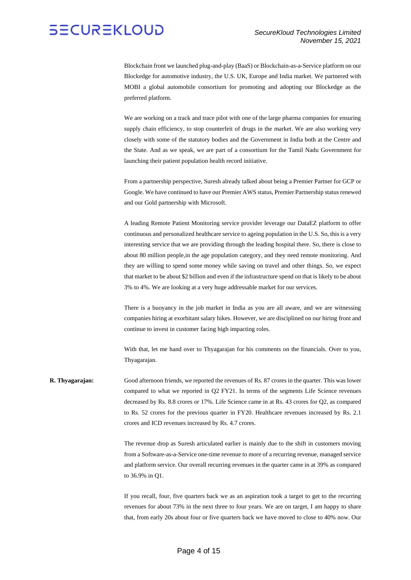Blockchain front we launched plug-and-play (BaaS) or Blockchain-as-a-Service platform on our Blockedge for automotive industry, the U.S. UK, Europe and India market. We partnered with MOBI a global automobile consortium for promoting and adopting our Blockedge as the preferred platform.

We are working on a track and trace pilot with one of the large pharma companies for ensuring supply chain efficiency, to stop counterfeit of drugs in the market. We are also working very closely with some of the statutory bodies and the Government in India both at the Centre and the State. And as we speak, we are part of a consortium for the Tamil Nadu Government for launching their patient population health record initiative.

From a partnership perspective, Suresh already talked about being a Premier Partner for GCP or Google. We have continued to have our Premier AWS status, Premier Partnership status renewed and our Gold partnership with Microsoft.

A leading Remote Patient Monitoring service provider leverage our DataEZ platform to offer continuous and personalized healthcare service to ageing population in the U.S. So, this is a very interesting service that we are providing through the leading hospital there. So, there is close to about 80 million people,in the age population category, and they need remote monitoring. And they are willing to spend some money while saving on travel and other things. So, we expect that market to be about \$2 billion and even if the infrastructure spend on that is likely to be about 3% to 4%. We are looking at a very huge addressable market for our services.

There is a buoyancy in the job market in India as you are all aware, and we are witnessing companies hiring at exorbitant salary hikes. However, we are disciplined on our hiring front and continue to invest in customer facing high impacting roles.

With that, let me hand over to Thyagarajan for his comments on the financials. Over to you, Thyagarajan.

**R. Thyagarajan:** Good afternoon friends, we reported the revenues of Rs. 87 crores in the quarter. This was lower compared to what we reported in Q2 FY21. In terms of the segments Life Science revenues decreased by Rs. 8.8 crores or 17%. Life Science came in at Rs. 43 crores for Q2, as compared to Rs. 52 crores for the previous quarter in FY20. Healthcare revenues increased by Rs. 2.1 crores and ICD revenues increased by Rs. 4.7 crores.

> The revenue drop as Suresh articulated earlier is mainly due to the shift in customers moving from a Software-as-a-Service one-time revenue to more of a recurring revenue, managed service and platform service. Our overall recurring revenues in the quarter came in at 39% as compared to 36.9% in Q1.

> If you recall, four, five quarters back we as an aspiration took a target to get to the recurring revenues for about 73% in the next three to four years. We are on target, I am happy to share that, from early 20s about four or five quarters back we have moved to close to 40% now. Our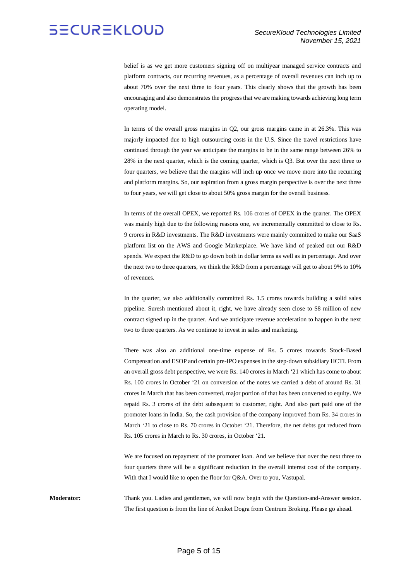belief is as we get more customers signing off on multiyear managed service contracts and platform contracts, our recurring revenues, as a percentage of overall revenues can inch up to about 70% over the next three to four years. This clearly shows that the growth has been encouraging and also demonstrates the progress that we are making towards achieving long term operating model.

In terms of the overall gross margins in Q2, our gross margins came in at 26.3%. This was majorly impacted due to high outsourcing costs in the U.S. Since the travel restrictions have continued through the year we anticipate the margins to be in the same range between 26% to 28% in the next quarter, which is the coming quarter, which is Q3. But over the next three to four quarters, we believe that the margins will inch up once we move more into the recurring and platform margins. So, our aspiration from a gross margin perspective is over the next three to four years, we will get close to about 50% gross margin for the overall business.

In terms of the overall OPEX, we reported Rs. 106 crores of OPEX in the quarter. The OPEX was mainly high due to the following reasons one, we incrementally committed to close to Rs. 9 crores in R&D investments. The R&D investments were mainly committed to make our SaaS platform list on the AWS and Google Marketplace. We have kind of peaked out our R&D spends. We expect the R&D to go down both in dollar terms as well as in percentage. And over the next two to three quarters, we think the R&D from a percentage will get to about 9% to 10% of revenues.

In the quarter, we also additionally committed Rs. 1.5 crores towards building a solid sales pipeline. Suresh mentioned about it, right, we have already seen close to \$8 million of new contract signed up in the quarter. And we anticipate revenue acceleration to happen in the next two to three quarters. As we continue to invest in sales and marketing.

There was also an additional one-time expense of Rs. 5 crores towards Stock-Based Compensation and ESOP and certain pre-IPO expenses in the step-down subsidiary HCTI. From an overall gross debt perspective, we were Rs. 140 crores in March '21 which has come to about Rs. 100 crores in October '21 on conversion of the notes we carried a debt of around Rs. 31 crores in March that has been converted, major portion of that has been converted to equity. We repaid Rs. 3 crores of the debt subsequent to customer, right. And also part paid one of the promoter loans in India. So, the cash provision of the company improved from Rs. 34 crores in March '21 to close to Rs. 70 crores in October '21. Therefore, the net debts got reduced from Rs. 105 crores in March to Rs. 30 crores, in October '21.

We are focused on repayment of the promoter loan. And we believe that over the next three to four quarters there will be a significant reduction in the overall interest cost of the company. With that I would like to open the floor for Q&A. Over to you, Vastupal.

**Moderator:** Thank you. Ladies and gentlemen, we will now begin with the Question-and-Answer session. The first question is from the line of Aniket Dogra from Centrum Broking. Please go ahead.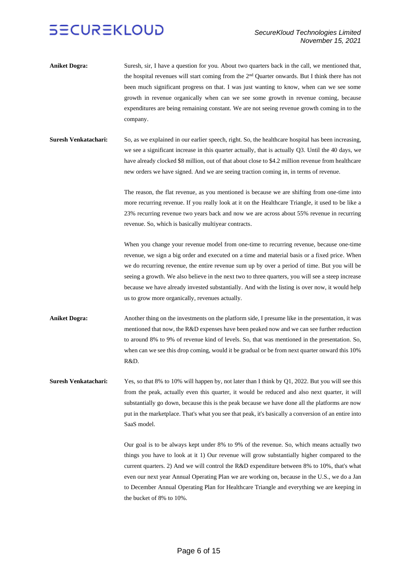- **Aniket Dogra:** Suresh, sir, I have a question for you. About two quarters back in the call, we mentioned that, the hospital revenues will start coming from the  $2<sup>nd</sup>$  Quarter onwards. But I think there has not been much significant progress on that. I was just wanting to know, when can we see some growth in revenue organically when can we see some growth in revenue coming, because expenditures are being remaining constant. We are not seeing revenue growth coming in to the company.
- **Suresh Venkatachari:** So, as we explained in our earlier speech, right. So, the healthcare hospital has been increasing, we see a significant increase in this quarter actually, that is actually Q3. Until the 40 days, we have already clocked \$8 million, out of that about close to \$4.2 million revenue from healthcare new orders we have signed. And we are seeing traction coming in, in terms of revenue.

The reason, the flat revenue, as you mentioned is because we are shifting from one-time into more recurring revenue. If you really look at it on the Healthcare Triangle, it used to be like a 23% recurring revenue two years back and now we are across about 55% revenue in recurring revenue. So, which is basically multiyear contracts.

When you change your revenue model from one-time to recurring revenue, because one-time revenue, we sign a big order and executed on a time and material basis or a fixed price. When we do recurring revenue, the entire revenue sum up by over a period of time. But you will be seeing a growth. We also believe in the next two to three quarters, you will see a steep increase because we have already invested substantially. And with the listing is over now, it would help us to grow more organically, revenues actually.

- **Aniket Dogra:** Another thing on the investments on the platform side, I presume like in the presentation, it was mentioned that now, the R&D expenses have been peaked now and we can see further reduction to around 8% to 9% of revenue kind of levels. So, that was mentioned in the presentation. So, when can we see this drop coming, would it be gradual or be from next quarter onward this 10% R&D.
- **Suresh Venkatachari:** Yes, so that 8% to 10% will happen by, not later than I think by Q1, 2022. But you will see this from the peak, actually even this quarter, it would be reduced and also next quarter, it will substantially go down, because this is the peak because we have done all the platforms are now put in the marketplace. That's what you see that peak, it's basically a conversion of an entire into SaaS model.

Our goal is to be always kept under 8% to 9% of the revenue. So, which means actually two things you have to look at it 1) Our revenue will grow substantially higher compared to the current quarters. 2) And we will control the R&D expenditure between 8% to 10%, that's what even our next year Annual Operating Plan we are working on, because in the U.S., we do a Jan to December Annual Operating Plan for Healthcare Triangle and everything we are keeping in the bucket of 8% to 10%.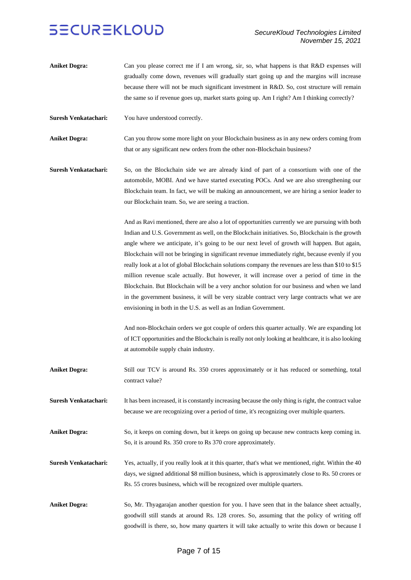- **Aniket Dogra:** Can you please correct me if I am wrong, sir, so, what happens is that R&D expenses will gradually come down, revenues will gradually start going up and the margins will increase because there will not be much significant investment in R&D. So, cost structure will remain the same so if revenue goes up, market starts going up. Am I right? Am I thinking correctly?
- **Suresh Venkatachari:** You have understood correctly.

**Aniket Dogra:** Can you throw some more light on your Blockchain business as in any new orders coming from that or any significant new orders from the other non-Blockchain business?

**Suresh Venkatachari:** So, on the Blockchain side we are already kind of part of a consortium with one of the automobile, MOBI. And we have started executing POCs. And we are also strengthening our Blockchain team. In fact, we will be making an announcement, we are hiring a senior leader to our Blockchain team. So, we are seeing a traction.

> And as Ravi mentioned, there are also a lot of opportunities currently we are pursuing with both Indian and U.S. Government as well, on the Blockchain initiatives. So, Blockchain is the growth angle where we anticipate, it's going to be our next level of growth will happen. But again, Blockchain will not be bringing in significant revenue immediately right, because evenly if you really look at a lot of global Blockchain solutions company the revenues are less than \$10 to \$15 million revenue scale actually. But however, it will increase over a period of time in the Blockchain. But Blockchain will be a very anchor solution for our business and when we land in the government business, it will be very sizable contract very large contracts what we are envisioning in both in the U.S. as well as an Indian Government.

> And non-Blockchain orders we got couple of orders this quarter actually. We are expanding lot of ICT opportunities and the Blockchain is really not only looking at healthcare, it is also looking at automobile supply chain industry.

Aniket Dogra: Still our TCV is around Rs. 350 crores approximately or it has reduced or something, total contract value?

**Suresh Venkatachari:** It has been increased, it is constantly increasing because the only thing is right, the contract value because we are recognizing over a period of time, it's recognizing over multiple quarters.

**Aniket Dogra:** So, it keeps on coming down, but it keeps on going up because new contracts keep coming in. So, it is around Rs. 350 crore to Rs 370 crore approximately.

**Suresh Venkatachari:** Yes, actually, if you really look at it this quarter, that's what we mentioned, right. Within the 40 days, we signed additional \$8 million business, which is approximately close to Rs. 50 crores or Rs. 55 crores business, which will be recognized over multiple quarters.

**Aniket Dogra:** So, Mr. Thyagarajan another question for you. I have seen that in the balance sheet actually, goodwill still stands at around Rs. 128 crores. So, assuming that the policy of writing off goodwill is there, so, how many quarters it will take actually to write this down or because I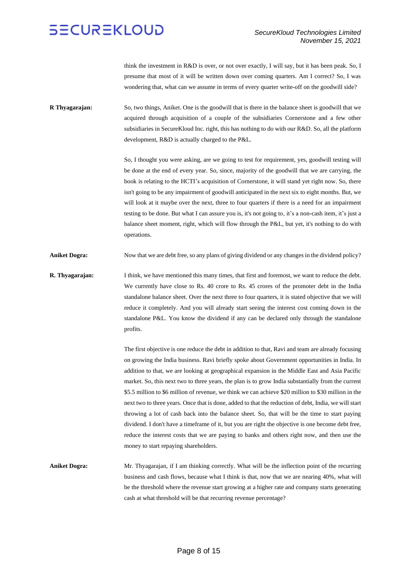think the investment in R&D is over, or not over exactly, I will say, but it has been peak. So, I presume that most of it will be written down over coming quarters. Am I correct? So, I was wondering that, what can we assume in terms of every quarter write-off on the goodwill side?

**R Thyagarajan:** So, two things, Aniket. One is the goodwill that is there in the balance sheet is goodwill that we acquired through acquisition of a couple of the subsidiaries Cornerstone and a few other subsidiaries in SecureKloud Inc. right, this has nothing to do with our R&D. So, all the platform development, R&D is actually charged to the P&L.

> So, I thought you were asking, are we going to test for requirement, yes, goodwill testing will be done at the end of every year. So, since, majority of the goodwill that we are carrying, the book is relating to the HCTI's acquisition of Cornerstone, it will stand yet right now. So, there isn't going to be any impairment of goodwill anticipated in the next six to eight months. But, we will look at it maybe over the next, three to four quarters if there is a need for an impairment testing to be done. But what I can assure you is, it's not going to, it's a non-cash item, it's just a balance sheet moment, right, which will flow through the P&L, but yet, it's nothing to do with operations.

**Aniket Dogra:** Now that we are debt free, so any plans of giving dividend or any changes in the dividend policy?

**R. Thyagarajan:** I think, we have mentioned this many times, that first and foremost, we want to reduce the debt. We currently have close to Rs. 40 crore to Rs. 45 crores of the promoter debt in the India standalone balance sheet. Over the next three to four quarters, it is stated objective that we will reduce it completely. And you will already start seeing the interest cost coming down in the standalone P&L. You know the dividend if any can be declared only through the standalone profits.

> The first objective is one reduce the debt in addition to that, Ravi and team are already focusing on growing the India business. Ravi briefly spoke about Government opportunities in India. In addition to that, we are looking at geographical expansion in the Middle East and Asia Pacific market. So, this next two to three years, the plan is to grow India substantially from the current \$5.5 million to \$6 million of revenue, we think we can achieve \$20 million to \$30 million in the next two to three years. Once that is done, added to that the reduction of debt, India, we will start throwing a lot of cash back into the balance sheet. So, that will be the time to start paying dividend. I don't have a timeframe of it, but you are right the objective is one become debt free, reduce the interest costs that we are paying to banks and others right now, and then use the money to start repaying shareholders.

**Aniket Dogra:** Mr. Thyagarajan, if I am thinking correctly. What will be the inflection point of the recurring business and cash flows, because what I think is that, now that we are nearing 40%, what will be the threshold where the revenue start growing at a higher rate and company starts generating cash at what threshold will be that recurring revenue percentage?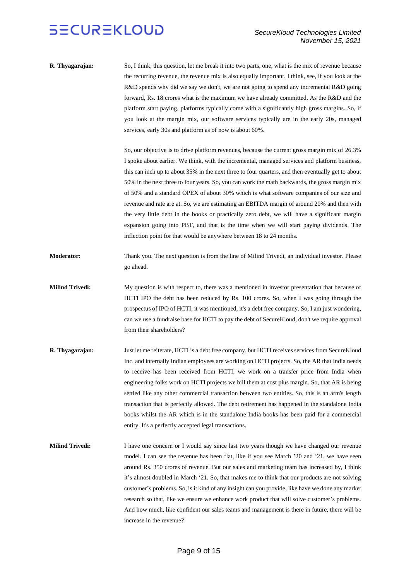**R. Thyagarajan:** So, I think, this question, let me break it into two parts, one, what is the mix of revenue because the recurring revenue, the revenue mix is also equally important. I think, see, if you look at the R&D spends why did we say we don't, we are not going to spend any incremental R&D going forward, Rs. 18 crores what is the maximum we have already committed. As the R&D and the platform start paying, platforms typically come with a significantly high gross margins. So, if you look at the margin mix, our software services typically are in the early 20s, managed services, early 30s and platform as of now is about 60%.

> So, our objective is to drive platform revenues, because the current gross margin mix of 26.3% I spoke about earlier. We think, with the incremental, managed services and platform business, this can inch up to about 35% in the next three to four quarters, and then eventually get to about 50% in the next three to four years. So, you can work the math backwards, the gross margin mix of 50% and a standard OPEX of about 30% which is what software companies of our size and revenue and rate are at. So, we are estimating an EBITDA margin of around 20% and then with the very little debt in the books or practically zero debt, we will have a significant margin expansion going into PBT, and that is the time when we will start paying dividends. The inflection point for that would be anywhere between 18 to 24 months.

- **Moderator:** Thank you. The next question is from the line of Milind Trivedi, an individual investor. Please go ahead.
- **Milind Trivedi:** My question is with respect to, there was a mentioned in investor presentation that because of HCTI IPO the debt has been reduced by Rs. 100 crores. So, when I was going through the prospectus of IPO of HCTI, it was mentioned, it's a debt free company. So, I am just wondering, can we use a fundraise base for HCTI to pay the debt of SecureKloud, don't we require approval from their shareholders?
- **R. Thyagarajan:** Just let me reiterate, HCTI is a debt free company, but HCTI receives services from SecureKloud Inc. and internally Indian employees are working on HCTI projects. So, the AR that India needs to receive has been received from HCTI, we work on a transfer price from India when engineering folks work on HCTI projects we bill them at cost plus margin. So, that AR is being settled like any other commercial transaction between two entities. So, this is an arm's length transaction that is perfectly allowed. The debt retirement has happened in the standalone India books whilst the AR which is in the standalone India books has been paid for a commercial entity. It's a perfectly accepted legal transactions.
- **Milind Trivedi:** I have one concern or I would say since last two years though we have changed our revenue model. I can see the revenue has been flat, like if you see March '20 and '21, we have seen around Rs. 350 crores of revenue. But our sales and marketing team has increased by, I think it's almost doubled in March '21. So, that makes me to think that our products are not solving customer's problems. So, is it kind of any insight can you provide, like have we done any market research so that, like we ensure we enhance work product that will solve customer's problems. And how much, like confident our sales teams and management is there in future, there will be increase in the revenue?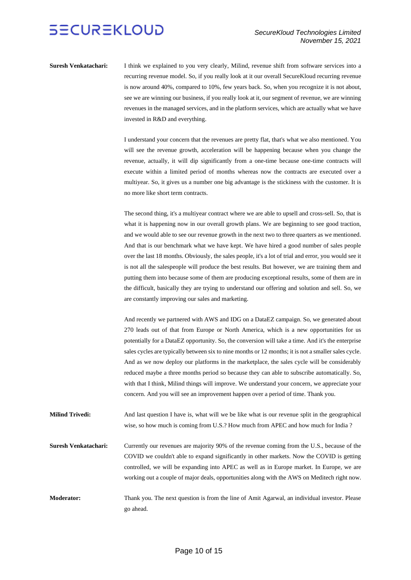**Suresh Venkatachari:** I think we explained to you very clearly, Milind, revenue shift from software services into a recurring revenue model. So, if you really look at it our overall SecureKloud recurring revenue is now around 40%, compared to 10%, few years back. So, when you recognize it is not about, see we are winning our business, if you really look at it, our segment of revenue, we are winning revenues in the managed services, and in the platform services, which are actually what we have invested in R&D and everything.

> I understand your concern that the revenues are pretty flat, that's what we also mentioned. You will see the revenue growth, acceleration will be happening because when you change the revenue, actually, it will dip significantly from a one-time because one-time contracts will execute within a limited period of months whereas now the contracts are executed over a multiyear. So, it gives us a number one big advantage is the stickiness with the customer. It is no more like short term contracts.

> The second thing, it's a multiyear contract where we are able to upsell and cross-sell. So, that is what it is happening now in our overall growth plans. We are beginning to see good traction, and we would able to see our revenue growth in the next two to three quarters as we mentioned. And that is our benchmark what we have kept. We have hired a good number of sales people over the last 18 months. Obviously, the sales people, it's a lot of trial and error, you would see it is not all the salespeople will produce the best results. But however, we are training them and putting them into because some of them are producing exceptional results, some of them are in the difficult, basically they are trying to understand our offering and solution and sell. So, we are constantly improving our sales and marketing.

> And recently we partnered with AWS and IDG on a DataEZ campaign. So, we generated about 270 leads out of that from Europe or North America, which is a new opportunities for us potentially for a DataEZ opportunity. So, the conversion will take a time. And it's the enterprise sales cycles are typically between six to nine months or 12 months; it is not a smaller sales cycle. And as we now deploy our platforms in the marketplace, the sales cycle will be considerably reduced maybe a three months period so because they can able to subscribe automatically. So, with that I think, Milind things will improve. We understand your concern, we appreciate your concern. And you will see an improvement happen over a period of time. Thank you.

**Milind Trivedi:** And last question I have is, what will we be like what is our revenue split in the geographical wise, so how much is coming from U.S.? How much from APEC and how much for India ?

**Suresh Venkatachari:** Currently our revenues are majority 90% of the revenue coming from the U.S., because of the COVID we couldn't able to expand significantly in other markets. Now the COVID is getting controlled, we will be expanding into APEC as well as in Europe market. In Europe, we are working out a couple of major deals, opportunities along with the AWS on Meditech right now.

**Moderator:** Thank you. The next question is from the line of Amit Agarwal, an individual investor. Please go ahead.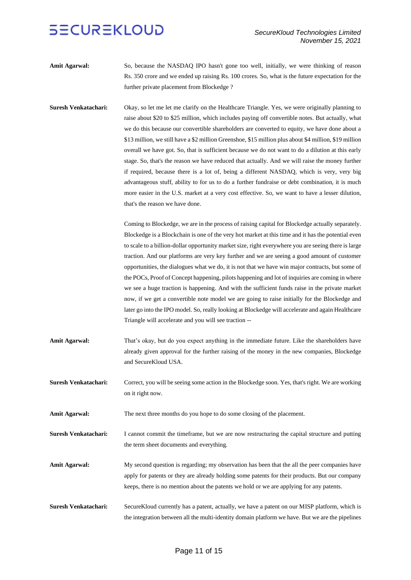Amit Agarwal: So, because the NASDAQ IPO hasn't gone too well, initially, we were thinking of reason Rs. 350 crore and we ended up raising Rs. 100 crores. So, what is the future expectation for the further private placement from Blockedge ?

**Suresh Venkatachari:** Okay, so let me let me clarify on the Healthcare Triangle. Yes, we were originally planning to raise about \$20 to \$25 million, which includes paying off convertible notes. But actually, what we do this because our convertible shareholders are converted to equity, we have done about a \$13 million, we still have a \$2 million Greenshoe, \$15 million plus about \$4 million, \$19 million overall we have got. So, that is sufficient because we do not want to do a dilution at this early stage. So, that's the reason we have reduced that actually. And we will raise the money further if required, because there is a lot of, being a different NASDAQ, which is very, very big advantageous stuff, ability to for us to do a further fundraise or debt combination, it is much more easier in the U.S. market at a very cost effective. So, we want to have a lesser dilution, that's the reason we have done.

> Coming to Blockedge, we are in the process of raising capital for Blockedge actually separately. Blockedge is a Blockchain is one of the very hot market at this time and it has the potential even to scale to a billion-dollar opportunity market size, right everywhere you are seeing there is large traction. And our platforms are very key further and we are seeing a good amount of customer opportunities, the dialogues what we do, it is not that we have win major contracts, but some of the POCs, Proof of Concept happening, pilots happening and lot of inquiries are coming in where we see a huge traction is happening. And with the sufficient funds raise in the private market now, if we get a convertible note model we are going to raise initially for the Blockedge and later go into the IPO model. So, really looking at Blockedge will accelerate and again Healthcare Triangle will accelerate and you will see traction --

- Amit Agarwal: That's okay, but do you expect anything in the immediate future. Like the shareholders have already given approval for the further raising of the money in the new companies, Blockedge and SecureKloud USA.
- **Suresh Venkatachari:** Correct, you will be seeing some action in the Blockedge soon. Yes, that's right. We are working on it right now.
- **Amit Agarwal:** The next three months do you hope to do some closing of the placement.

**Suresh Venkatachari:** I cannot commit the timeframe, but we are now restructuring the capital structure and putting the term sheet documents and everything.

- Amit Agarwal: My second question is regarding; my observation has been that the all the peer companies have apply for patents or they are already holding some patents for their products. But our company keeps, there is no mention about the patents we hold or we are applying for any patents.
- **Suresh Venkatachari:** SecureKloud currently has a patent, actually, we have a patent on our MISP platform, which is the integration between all the multi-identity domain platform we have. But we are the pipelines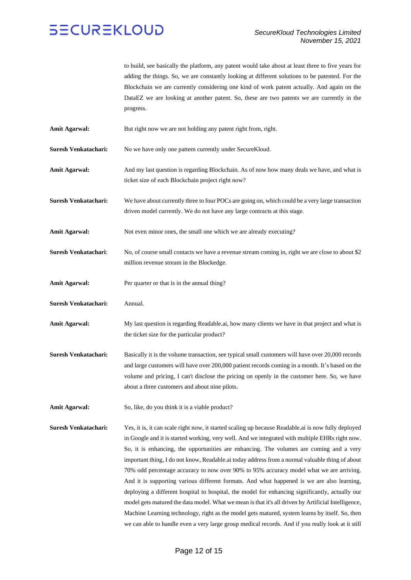to build, see basically the platform, any patent would take about at least three to five years for adding the things. So, we are constantly looking at different solutions to be patented. For the Blockchain we are currently considering one kind of work patent actually. And again on the DataEZ we are looking at another patent. So, these are two patents we are currently in the progress.

- **Amit Agarwal:** But right now we are not holding any patent right from, right.
- **Suresh Venkatachari:** No we have only one pattern currently under SecureKloud.
- Amit Agarwal: And my last question is regarding Blockchain. As of now how many deals we have, and what is ticket size of each Blockchain project right now?

**Suresh Venkatachari:** We have about currently three to four POCs are going on, which could be a very large transaction driven model currently. We do not have any large contracts at this stage.

**Amit Agarwal:** Not even minor ones, the small one which we are already executing?

- Suresh Venkatachari: No, of course small contacts we have a revenue stream coming in, right we are close to about \$2 million revenue stream in the Blockedge.
- Amit Agarwal: Per quarter or that is in the annual thing?
- **Suresh Venkatachari:** Annual.
- **Amit Agarwal:** My last question is regarding Readable.ai, how many clients we have in that project and what is the ticket size for the particular product?
- **Suresh Venkatachari:** Basically it is the volume transaction, see typical small customers will have over 20,000 records and large customers will have over 200,000 patient records coming in a month. It's based on the volume and pricing, I can't disclose the pricing on openly in the customer here. So, we have about a three customers and about nine pilots.
- Amit Agarwal: So, like, do you think it is a viable product?
- **Suresh Venkatachari:** Yes, it is, it can scale right now, it started scaling up because Readable.ai is now fully deployed in Google and it is started working, very well. And we integrated with multiple EHRs right now. So, it is enhancing, the opportunities are enhancing. The volumes are coming and a very important thing, I do not know, Readable.ai today address from a normal valuable thing of about 70% odd percentage accuracy to now over 90% to 95% accuracy model what we are arriving. And it is supporting various different formats. And what happened is we are also learning, deploying a different hospital to hospital, the model for enhancing significantly, actually our model gets matured the data model. What we mean is that it's all driven by Artificial Intelligence, Machine Learning technology, right as the model gets matured, system learns by itself. So, then we can able to handle even a very large group medical records. And if you really look at it still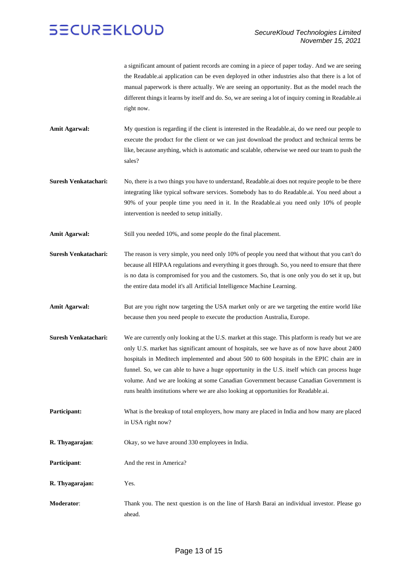a significant amount of patient records are coming in a piece of paper today. And we are seeing the Readable.ai application can be even deployed in other industries also that there is a lot of manual paperwork is there actually. We are seeing an opportunity. But as the model reach the different things it learns by itself and do. So, we are seeing a lot of inquiry coming in Readable.ai right now.

- Amit Agarwal: My question is regarding if the client is interested in the Readable.ai, do we need our people to execute the product for the client or we can just download the product and technical terms be like, because anything, which is automatic and scalable, otherwise we need our team to push the sales?
- **Suresh Venkatachari:** No, there is a two things you have to understand, Readable.ai does not require people to be there integrating like typical software services. Somebody has to do Readable.ai. You need about a 90% of your people time you need in it. In the Readable.ai you need only 10% of people intervention is needed to setup initially.
- **Amit Agarwal:** Still you needed 10%, and some people do the final placement.
- **Suresh Venkatachari:** The reason is very simple, you need only 10% of people you need that without that you can't do because all HIPAA regulations and everything it goes through. So, you need to ensure that there is no data is compromised for you and the customers. So, that is one only you do set it up, but the entire data model it's all Artificial Intelligence Machine Learning.
- Amit Agarwal: But are you right now targeting the USA market only or are we targeting the entire world like because then you need people to execute the production Australia, Europe.
- **Suresh Venkatachari:** We are currently only looking at the U.S. market at this stage. This platform is ready but we are only U.S. market has significant amount of hospitals, see we have as of now have about 2400 hospitals in Meditech implemented and about 500 to 600 hospitals in the EPIC chain are in funnel. So, we can able to have a huge opportunity in the U.S. itself which can process huge volume. And we are looking at some Canadian Government because Canadian Government is runs health institutions where we are also looking at opportunities for Readable.ai.
- **Participant:** What is the breakup of total employers, how many are placed in India and how many are placed in USA right now?
- **R. Thyagarajan**: Okay, so we have around 330 employees in India.
- **Participant:** And the rest in America?
- **R. Thyagarajan:** Yes.
- **Moderator**: Thank you. The next question is on the line of Harsh Barai an individual investor. Please go ahead.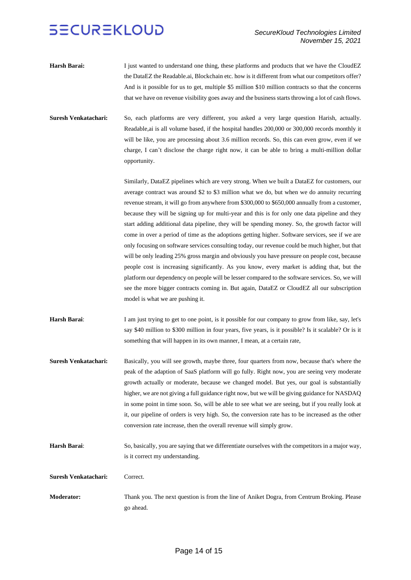- **Harsh Barai:** I just wanted to understand one thing, these platforms and products that we have the CloudEZ the DataEZ the Readable.ai, Blockchain etc. how is it different from what our competitors offer? And is it possible for us to get, multiple \$5 million \$10 million contracts so that the concerns that we have on revenue visibility goes away and the business starts throwing a lot of cash flows.
- **Suresh Venkatachari:** So, each platforms are very different, you asked a very large question Harish, actually. Readable,ai is all volume based, if the hospital handles 200,000 or 300,000 records monthly it will be like, you are processing about 3.6 million records. So, this can even grow, even if we charge, I can't disclose the charge right now, it can be able to bring a multi-million dollar opportunity.

Similarly, DataEZ pipelines which are very strong. When we built a DataEZ for customers, our average contract was around \$2 to \$3 million what we do, but when we do annuity recurring revenue stream, it will go from anywhere from \$300,000 to \$650,000 annually from a customer, because they will be signing up for multi-year and this is for only one data pipeline and they start adding additional data pipeline, they will be spending money. So, the growth factor will come in over a period of time as the adoptions getting higher. Software services, see if we are only focusing on software services consulting today, our revenue could be much higher, but that will be only leading 25% gross margin and obviously you have pressure on people cost, because people cost is increasing significantly. As you know, every market is adding that, but the platform our dependency on people will be lesser compared to the software services. So, we will see the more bigger contracts coming in. But again, DataEZ or CloudEZ all our subscription model is what we are pushing it.

- **Harsh Barai**: I am just trying to get to one point, is it possible for our company to grow from like, say, let's say \$40 million to \$300 million in four years, five years, is it possible? Is it scalable? Or is it something that will happen in its own manner, I mean, at a certain rate,
- **Suresh Venkatachari:** Basically, you will see growth, maybe three, four quarters from now, because that's where the peak of the adaption of SaaS platform will go fully. Right now, you are seeing very moderate growth actually or moderate, because we changed model. But yes, our goal is substantially higher, we are not giving a full guidance right now, but we will be giving guidance for NASDAQ in some point in time soon. So, will be able to see what we are seeing, but if you really look at it, our pipeline of orders is very high. So, the conversion rate has to be increased as the other conversion rate increase, then the overall revenue will simply grow.
- **Harsh Barai**: So, basically, you are saying that we differentiate ourselves with the competitors in a major way, is it correct my understanding.
- **Suresh Venkatachari:** Correct.
- **Moderator:** Thank you. The next question is from the line of Aniket Dogra, from Centrum Broking. Please go ahead.